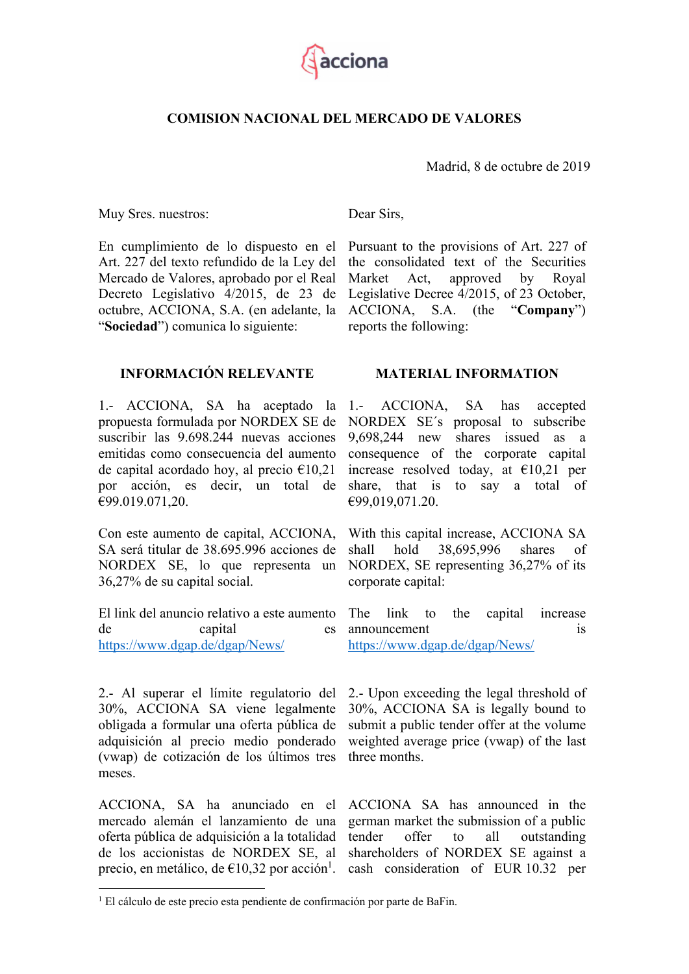

### **COMISION NACIONAL DEL MERCADO DE VALORES**

Madrid, 8 de octubre de 2019

Muy Sres. nuestros:

En cumplimiento de lo dispuesto en el Art. 227 del texto refundido de la Ley del Mercado de Valores, aprobado por el Real Decreto Legislativo 4/2015, de 23 de octubre, ACCIONA, S.A. (en adelante, la "**Sociedad**") comunica lo siguiente:

**INFORMACIÓN RELEVANTE** 

1.- ACCIONA, SA ha aceptado la propuesta formulada por NORDEX SE de suscribir las 9.698.244 nuevas acciones emitidas como consecuencia del aumento de capital acordado hoy, al precio  $\epsilon$ 10,21 por acción, es decir, un total de €99.019.071,20.

Con este aumento de capital, ACCIONA, SA será titular de 38.695.996 acciones de NORDEX SE, lo que representa un 36,27% de su capital social.

El link del anuncio relativo a este aumento de capital es https://www.dgap.de/dgap/News/

2.- Al superar el límite regulatorio del 30%, ACCIONA SA viene legalmente obligada a formular una oferta pública de adquisición al precio medio ponderado (vwap) de cotización de los últimos tres meses.

ACCIONA, SA ha anunciado en el mercado alemán el lanzamiento de una oferta pública de adquisición a la totalidad de los accionistas de NORDEX SE, al precio, en metálico, de  $\epsilon$ 10,32 por acción<sup>1</sup>.

<u>.</u>

Dear Sirs,

Pursuant to the provisions of Art. 227 of the consolidated text of the Securities Market Act, approved by Royal Legislative Decree 4/2015, of 23 October, ACCIONA, S.A. (the "**Company**") reports the following:

#### **MATERIAL INFORMATION**

1.- ACCIONA, SA has accepted NORDEX SE´s proposal to subscribe 9,698,244 new shares issued as a consequence of the corporate capital increase resolved today, at  $\epsilon$ 10,21 per share, that is to say a total of €99,019,071.20.

With this capital increase, ACCIONA SA shall hold 38,695,996 shares of NORDEX, SE representing 36,27% of its corporate capital:

The link to the capital increase announcement is https://www.dgap.de/dgap/News/

2.- Upon exceeding the legal threshold of 30%, ACCIONA SA is legally bound to submit a public tender offer at the volume weighted average price (vwap) of the last three months.

ACCIONA SA has announced in the german market the submission of a public tender offer to all outstanding shareholders of NORDEX SE against a cash consideration of EUR 10.32 per

<sup>&</sup>lt;sup>1</sup> El cálculo de este precio esta pendiente de confirmación por parte de BaFin.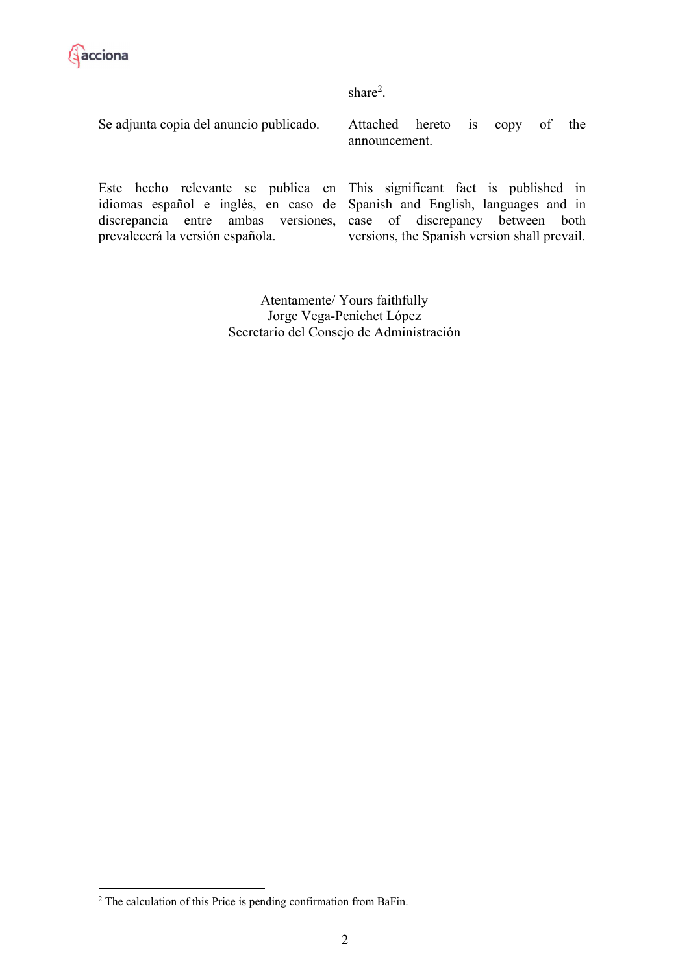

share<sup>2</sup>.

Se adjunta copia del anuncio publicado.

Attached hereto is copy of the announcement.

Este hecho relevante se publica en idiomas español e inglés, en caso de discrepancia entre ambas versiones, prevalecerá la versión española.

This significant fact is published in Spanish and English, languages and in case of discrepancy between both versions, the Spanish version shall prevail.

Atentamente/ Yours faithfully Jorge Vega-Penichet López Secretario del Consejo de Administración

<u>.</u>

 $2$  The calculation of this Price is pending confirmation from BaFin.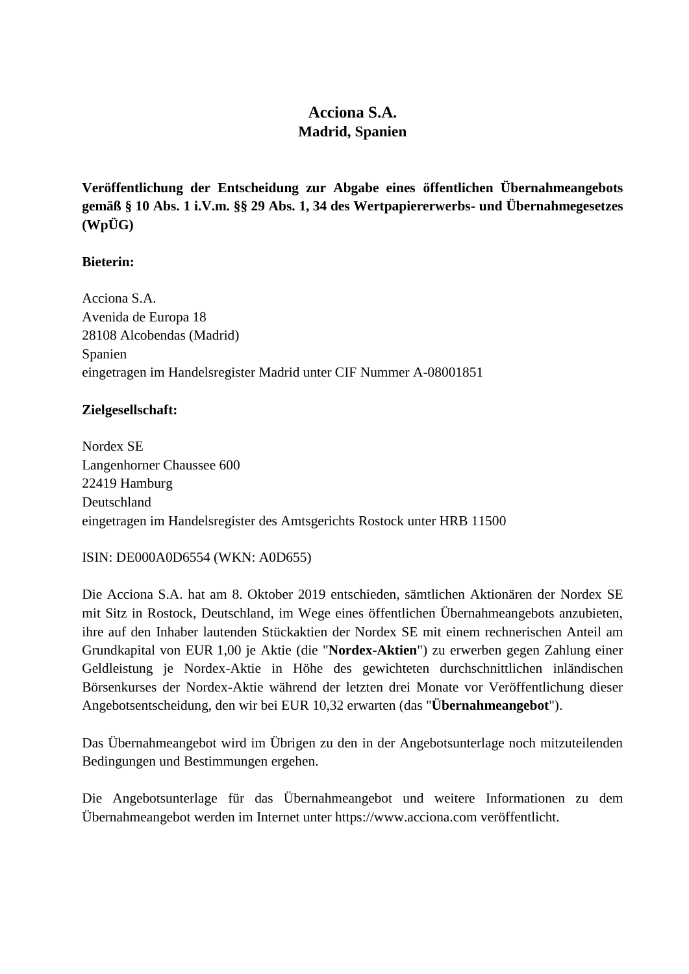# **Acciona S.A. Madrid, Spanien**

**Veröffentlichung der Entscheidung zur Abgabe eines öffentlichen Übernahmeangebots gemäß § 10 Abs. 1 i.V.m. §§ 29 Abs. 1, 34 des Wertpapiererwerbs- und Übernahmegesetzes (WpÜG)**

## **Bieterin:**

Acciona S.A. Avenida de Europa 18 28108 Alcobendas (Madrid) Spanien eingetragen im Handelsregister Madrid unter CIF Nummer A-08001851

## **Zielgesellschaft:**

Nordex SE Langenhorner Chaussee 600 22419 Hamburg Deutschland eingetragen im Handelsregister des Amtsgerichts Rostock unter HRB 11500

#### ISIN: DE000A0D6554 (WKN: A0D655)

Die Acciona S.A. hat am 8. Oktober 2019 entschieden, sämtlichen Aktionären der Nordex SE mit Sitz in Rostock, Deutschland, im Wege eines öffentlichen Übernahmeangebots anzubieten, ihre auf den Inhaber lautenden Stückaktien der Nordex SE mit einem rechnerischen Anteil am Grundkapital von EUR 1,00 je Aktie (die "**Nordex-Aktien**") zu erwerben gegen Zahlung einer Geldleistung je Nordex-Aktie in Höhe des gewichteten durchschnittlichen inländischen Börsenkurses der Nordex-Aktie während der letzten drei Monate vor Veröffentlichung dieser Angebotsentscheidung, den wir bei EUR 10,32 erwarten (das "**Übernahmeangebot**").

Das Übernahmeangebot wird im Übrigen zu den in der Angebotsunterlage noch mitzuteilenden Bedingungen und Bestimmungen ergehen.

Die Angebotsunterlage für das Übernahmeangebot und weitere Informationen zu dem Übernahmeangebot werden im Internet unter https://www.acciona.com veröffentlicht.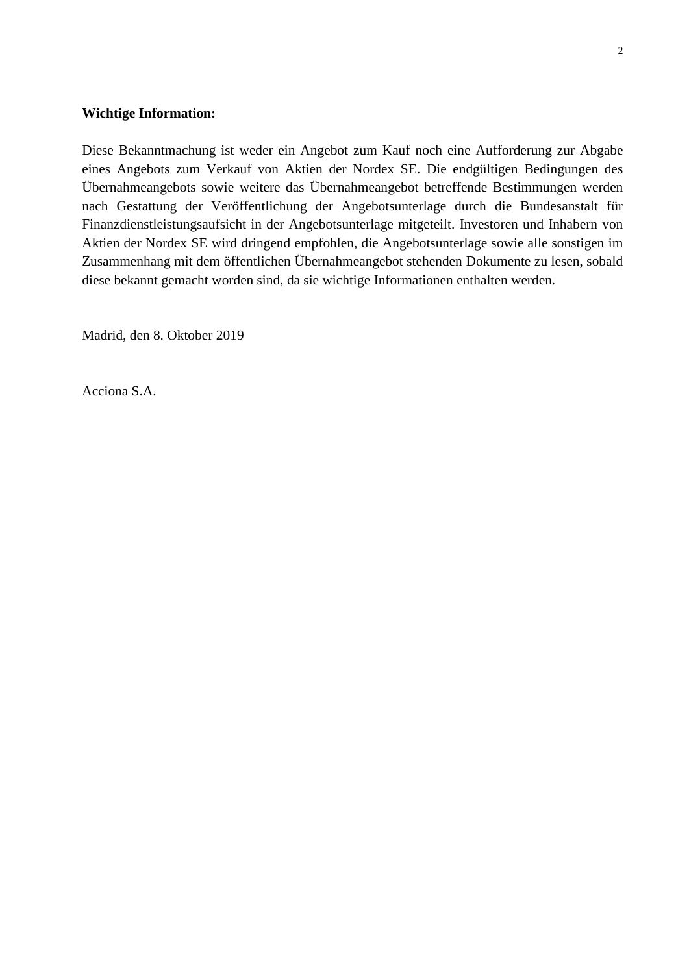#### **Wichtige Information:**

Diese Bekanntmachung ist weder ein Angebot zum Kauf noch eine Aufforderung zur Abgabe eines Angebots zum Verkauf von Aktien der Nordex SE. Die endgültigen Bedingungen des Übernahmeangebots sowie weitere das Übernahmeangebot betreffende Bestimmungen werden nach Gestattung der Veröffentlichung der Angebotsunterlage durch die Bundesanstalt für Finanzdienstleistungsaufsicht in der Angebotsunterlage mitgeteilt. Investoren und Inhabern von Aktien der Nordex SE wird dringend empfohlen, die Angebotsunterlage sowie alle sonstigen im Zusammenhang mit dem öffentlichen Übernahmeangebot stehenden Dokumente zu lesen, sobald diese bekannt gemacht worden sind, da sie wichtige Informationen enthalten werden.

Madrid, den 8. Oktober 2019

Acciona S.A.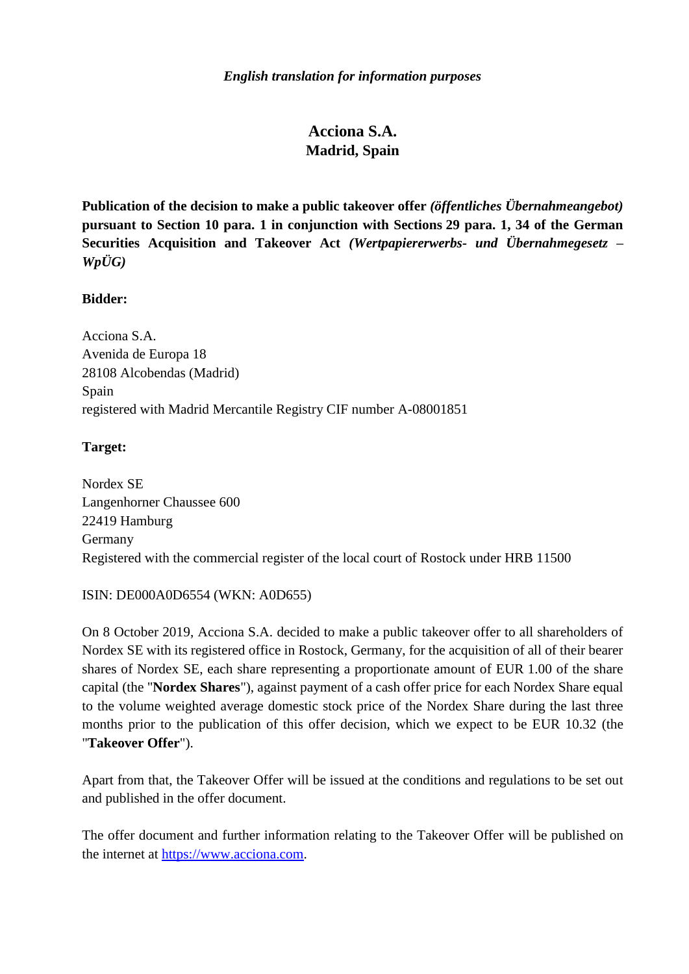## **Acciona S.A. Madrid, Spain**

**Publication of the decision to make a public takeover offer** *(öffentliches Übernahmeangebot)* **pursuant to Section 10 para. 1 in conjunction with Sections 29 para. 1, 34 of the German Securities Acquisition and Takeover Act** *(Wertpapiererwerbs- und Übernahmegesetz – WpÜG)*

## **Bidder:**

Acciona S.A. Avenida de Europa 18 28108 Alcobendas (Madrid) Spain registered with Madrid Mercantile Registry CIF number A-08001851

## **Target:**

Nordex SE Langenhorner Chaussee 600 22419 Hamburg Germany Registered with the commercial register of the local court of Rostock under HRB 11500

#### ISIN: DE000A0D6554 (WKN: A0D655)

On 8 October 2019, Acciona S.A. decided to make a public takeover offer to all shareholders of Nordex SE with its registered office in Rostock, Germany, for the acquisition of all of their bearer shares of Nordex SE, each share representing a proportionate amount of EUR 1.00 of the share capital (the "**Nordex Shares**"), against payment of a cash offer price for each Nordex Share equal to the volume weighted average domestic stock price of the Nordex Share during the last three months prior to the publication of this offer decision, which we expect to be EUR 10.32 (the "**Takeover Offer**").

Apart from that, the Takeover Offer will be issued at the conditions and regulations to be set out and published in the offer document.

The offer document and further information relating to the Takeover Offer will be published on the internet at [https://www.acciona.com.](https://www.acciona.com/)